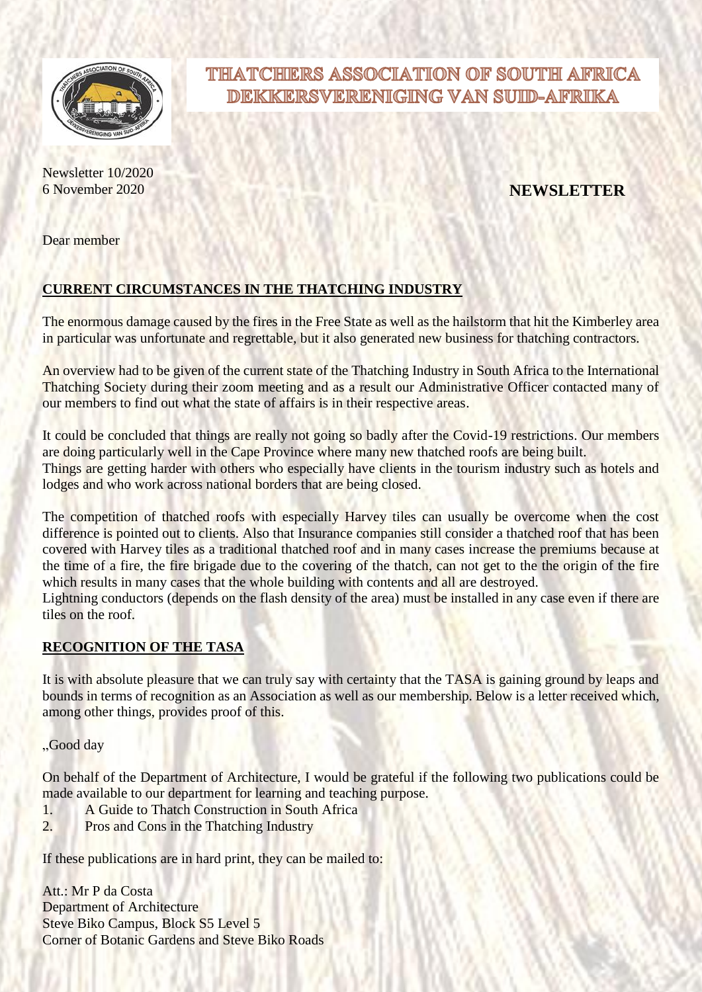

# Newsletter 10/2020

## THATCHIERS ASSOCIATION OF SOUTH AFRICA DEKKERSVERENIGING VAN SUID-AFRIKA

### 6 November 2020 **NEWSLETTER**

Dear member

#### **CURRENT CIRCUMSTANCES IN THE THATCHING INDUSTRY**

The enormous damage caused by the fires in the Free State as well as the hailstorm that hit the Kimberley area in particular was unfortunate and regrettable, but it also generated new business for thatching contractors.

An overview had to be given of the current state of the Thatching Industry in South Africa to the International Thatching Society during their zoom meeting and as a result our Administrative Officer contacted many of our members to find out what the state of affairs is in their respective areas.

It could be concluded that things are really not going so badly after the Covid-19 restrictions. Our members are doing particularly well in the Cape Province where many new thatched roofs are being built. Things are getting harder with others who especially have clients in the tourism industry such as hotels and lodges and who work across national borders that are being closed.

The competition of thatched roofs with especially Harvey tiles can usually be overcome when the cost difference is pointed out to clients. Also that Insurance companies still consider a thatched roof that has been covered with Harvey tiles as a traditional thatched roof and in many cases increase the premiums because at the time of a fire, the fire brigade due to the covering of the thatch, can not get to the the origin of the fire which results in many cases that the whole building with contents and all are destroyed.

Lightning conductors (depends on the flash density of the area) must be installed in any case even if there are tiles on the roof.

#### **RECOGNITION OF THE TASA**

It is with absolute pleasure that we can truly say with certainty that the TASA is gaining ground by leaps and bounds in terms of recognition as an Association as well as our membership. Below is a letter received which, among other things, provides proof of this.

"Good day

On behalf of the Department of Architecture, I would be grateful if the following two publications could be made available to our department for learning and teaching purpose.

- 1. A Guide to Thatch Construction in South Africa
- 2. Pros and Cons in the Thatching Industry

If these publications are in hard print, they can be mailed to:

Att.: Mr P da Costa Department of Architecture Steve Biko Campus, Block S5 Level 5 Corner of Botanic Gardens and Steve Biko Roads